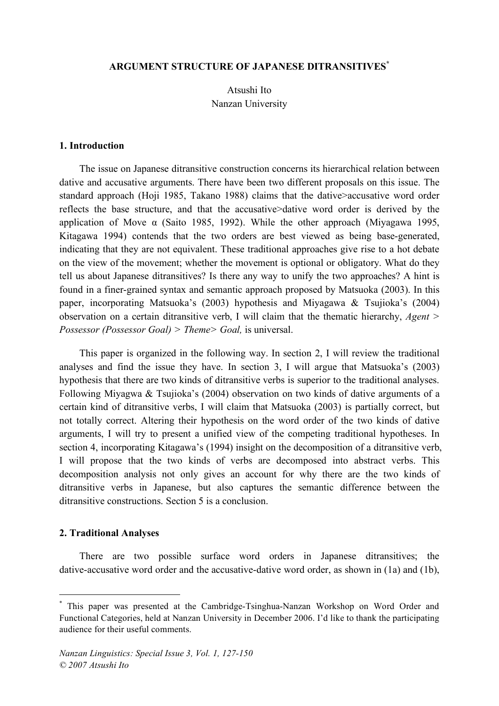# **ARGUMENT STRUCTURE OF JAPANESE DITRANSITIVES\***

Atsushi Ito Nanzan University

#### **1. Introduction**

The issue on Japanese ditransitive construction concerns its hierarchical relation between dative and accusative arguments. There have been two different proposals on this issue. The standard approach (Hoji 1985, Takano 1988) claims that the dative>accusative word order reflects the base structure, and that the accusative>dative word order is derived by the application of Move α (Saito 1985, 1992). While the other approach (Miyagawa 1995, Kitagawa 1994) contends that the two orders are best viewed as being base-generated, indicating that they are not equivalent. These traditional approaches give rise to a hot debate on the view of the movement; whether the movement is optional or obligatory. What do they tell us about Japanese ditransitives? Is there any way to unify the two approaches? A hint is found in a finer-grained syntax and semantic approach proposed by Matsuoka (2003). In this paper, incorporating Matsuoka's (2003) hypothesis and Miyagawa & Tsujioka's (2004) observation on a certain ditransitive verb, I will claim that the thematic hierarchy, *Agent > Possessor (Possessor Goal) > Theme> Goal,* is universal.

This paper is organized in the following way. In section 2, I will review the traditional analyses and find the issue they have. In section 3, I will argue that Matsuoka's (2003) hypothesis that there are two kinds of ditransitive verbs is superior to the traditional analyses. Following Miyagwa & Tsujioka's (2004) observation on two kinds of dative arguments of a certain kind of ditransitive verbs, I will claim that Matsuoka (2003) is partially correct, but not totally correct. Altering their hypothesis on the word order of the two kinds of dative arguments, I will try to present a unified view of the competing traditional hypotheses. In section 4, incorporating Kitagawa's (1994) insight on the decomposition of a ditransitive verb, I will propose that the two kinds of verbs are decomposed into abstract verbs. This decomposition analysis not only gives an account for why there are the two kinds of ditransitive verbs in Japanese, but also captures the semantic difference between the ditransitive constructions. Section 5 is a conclusion.

#### **2. Traditional Analyses**

There are two possible surface word orders in Japanese ditransitives; the dative-accusative word order and the accusative-dative word order, as shown in (1a) and (1b),

 <sup>\*</sup> This paper was presented at the Cambridge-Tsinghua-Nanzan Workshop on Word Order and Functional Categories, held at Nanzan University in December 2006. I'd like to thank the participating audience for their useful comments.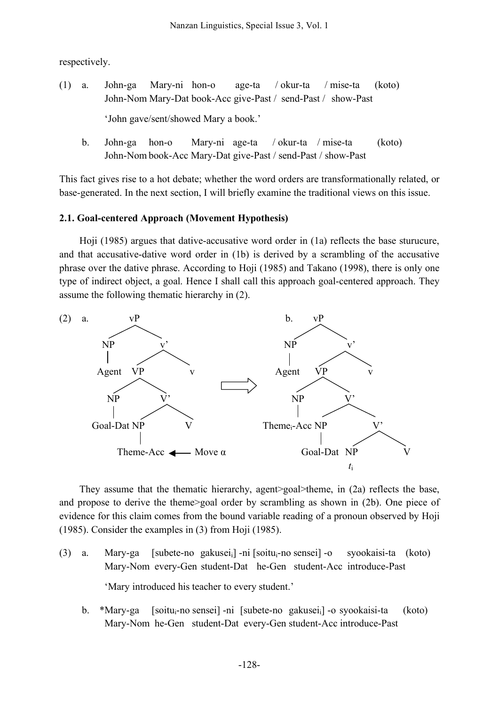respectively.

(1) a. John-ga Mary-ni hon-o age-ta / okur-ta / mise-ta (koto) John-Nom Mary-Dat book-Acc give-Past / send-Past / show-Past

'John gave/sent/showed Mary a book.'

b. John-ga hon-o Mary-ni age-ta / okur-ta / mise-ta (koto) John-Nom book-Acc Mary-Dat give-Past / send-Past / show-Past

This fact gives rise to a hot debate; whether the word orders are transformationally related, or base-generated. In the next section, I will briefly examine the traditional views on this issue.

# **2.1. Goal-centered Approach (Movement Hypothesis)**

Hoji (1985) argues that dative-accusative word order in (1a) reflects the base sturucure, and that accusative-dative word order in (1b) is derived by a scrambling of the accusative phrase over the dative phrase. According to Hoji (1985) and Takano (1998), there is only one type of indirect object, a goal. Hence I shall call this approach goal-centered approach. They assume the following thematic hierarchy in (2).



They assume that the thematic hierarchy, agent>goal>theme, in (2a) reflects the base, and propose to derive the theme>goal order by scrambling as shown in (2b). One piece of evidence for this claim comes from the bound variable reading of a pronoun observed by Hoji (1985). Consider the examples in (3) from Hoji (1985).

- (3) a. Mary-ga [subete-no gakuseii] -ni [soitui-no sensei] -o syookaisi-ta (koto) Mary-Nom every-Gen student-Dat he-Gen student-Acc introduce-Past 'Mary introduced his teacher to every student.'
	- b. \*Mary-ga [soitu<sub>i</sub>-no sensei] -ni [subete-no gakusei<sub>i</sub>] -o syookaisi-ta (koto) Mary-Nom he-Gen student-Dat every-Gen student-Acc introduce-Past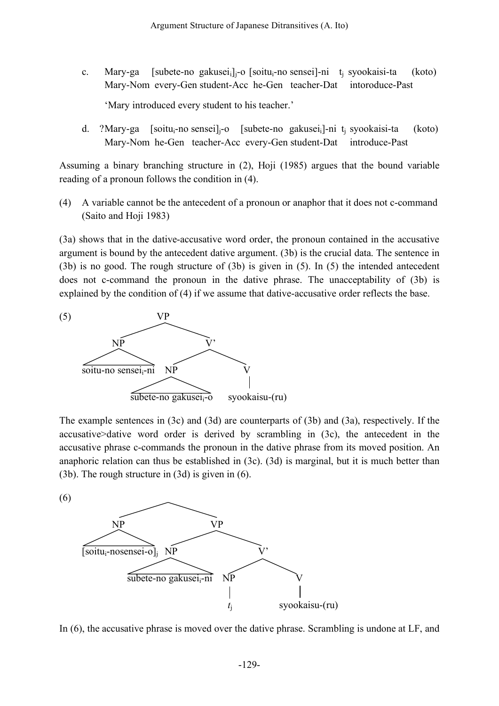c. Mary-ga [subete-no gakusei<sub>i</sub>] $_{i}$ -o [soitu<sub>i</sub>-no sensei]-ni t<sub>i</sub> syookaisi-ta (koto) Mary-Nom every-Gen student-Acc he-Gen teacher-Dat intoroduce-Past

'Mary introduced every student to his teacher.'

d. ?Mary-ga [soitu<sub>i</sub>-no sensei]<sub>i</sub>-o [subete-no gakusei<sub>i</sub>]-ni t<sub>i</sub> syookaisi-ta (koto) Mary-Nom he-Gen teacher-Acc every-Gen student-Dat introduce-Past

Assuming a binary branching structure in (2), Hoji (1985) argues that the bound variable reading of a pronoun follows the condition in (4).

(4) A variable cannot be the antecedent of a pronoun or anaphor that it does not c-command (Saito and Hoji 1983)

(3a) shows that in the dative-accusative word order, the pronoun contained in the accusative argument is bound by the antecedent dative argument. (3b) is the crucial data. The sentence in (3b) is no good. The rough structure of (3b) is given in (5). In (5) the intended antecedent does not c-command the pronoun in the dative phrase. The unacceptability of (3b) is explained by the condition of (4) if we assume that dative-accusative order reflects the base.



The example sentences in (3c) and (3d) are counterparts of (3b) and (3a), respectively. If the accusative>dative word order is derived by scrambling in (3c), the antecedent in the accusative phrase c-commands the pronoun in the dative phrase from its moved position. An anaphoric relation can thus be established in (3c). (3d) is marginal, but it is much better than (3b). The rough structure in (3d) is given in (6).

(6)



In (6), the accusative phrase is moved over the dative phrase. Scrambling is undone at LF, and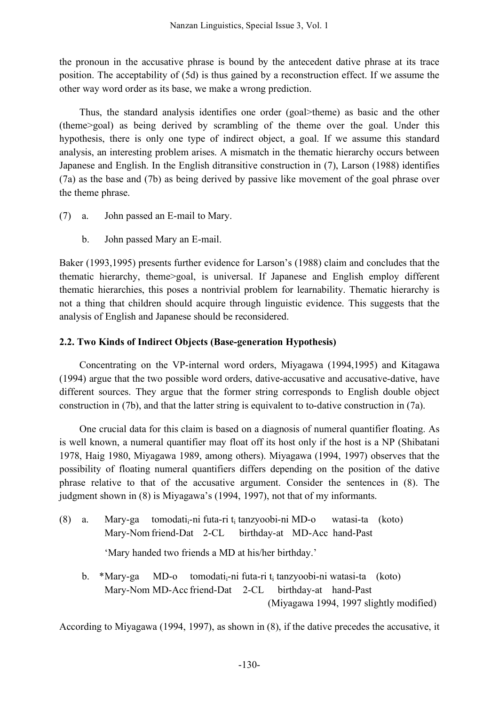the pronoun in the accusative phrase is bound by the antecedent dative phrase at its trace position. The acceptability of (5d) is thus gained by a reconstruction effect. If we assume the other way word order as its base, we make a wrong prediction.

Thus, the standard analysis identifies one order (goal>theme) as basic and the other (theme>goal) as being derived by scrambling of the theme over the goal. Under this hypothesis, there is only one type of indirect object, a goal. If we assume this standard analysis, an interesting problem arises. A mismatch in the thematic hierarchy occurs between Japanese and English. In the English ditransitive construction in (7), Larson (1988) identifies (7a) as the base and (7b) as being derived by passive like movement of the goal phrase over the theme phrase.

- (7) a. John passed an E-mail to Mary.
	- b. John passed Mary an E-mail.

Baker (1993,1995) presents further evidence for Larson's (1988) claim and concludes that the thematic hierarchy, theme>goal, is universal. If Japanese and English employ different thematic hierarchies, this poses a nontrivial problem for learnability. Thematic hierarchy is not a thing that children should acquire through linguistic evidence. This suggests that the analysis of English and Japanese should be reconsidered.

# **2.2. Two Kinds of Indirect Objects (Base-generation Hypothesis)**

Concentrating on the VP-internal word orders, Miyagawa (1994,1995) and Kitagawa (1994) argue that the two possible word orders, dative-accusative and accusative-dative, have different sources. They argue that the former string corresponds to English double object construction in (7b), and that the latter string is equivalent to to-dative construction in (7a).

One crucial data for this claim is based on a diagnosis of numeral quantifier floating. As is well known, a numeral quantifier may float off its host only if the host is a NP (Shibatani 1978, Haig 1980, Miyagawa 1989, among others). Miyagawa (1994, 1997) observes that the possibility of floating numeral quantifiers differs depending on the position of the dative phrase relative to that of the accusative argument. Consider the sentences in (8). The judgment shown in (8) is Miyagawa's (1994, 1997), not that of my informants.

(8) a. Mary-ga tomodatii-ni futa-ri ti tanzyoobi-ni MD-o watasi-ta (koto) Mary-Nom friend-Dat 2-CL birthday-at MD-Acc hand-Past

'Mary handed two friends a MD at his/her birthday.'

b. \*Mary-ga MD-o tomodati<sub>i</sub>-ni futa-ri t<sub>i</sub> tanzyoobi-ni watasi-ta (koto) Mary-Nom MD-Acc friend-Dat 2-CL birthday-at hand-Past (Miyagawa 1994, 1997 slightly modified)

According to Miyagawa (1994, 1997), as shown in (8), if the dative precedes the accusative, it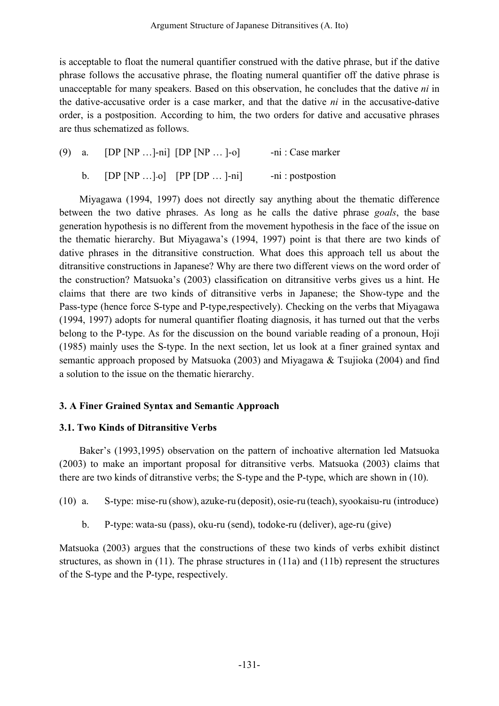is acceptable to float the numeral quantifier construed with the dative phrase, but if the dative phrase follows the accusative phrase, the floating numeral quantifier off the dative phrase is unacceptable for many speakers. Based on this observation, he concludes that the dative *ni* in the dative-accusative order is a case marker, and that the dative *ni* in the accusative-dative order, is a postposition. According to him, the two orders for dative and accusative phrases are thus schematized as follows.

(9) a. [DP [NP …]-ni] [DP [NP … ]-o] -ni : Case marker b.  $[DP [NP ... ]-o] [PP [DP ... ]-ni]$  -ni : postpostion

Miyagawa (1994, 1997) does not directly say anything about the thematic difference between the two dative phrases. As long as he calls the dative phrase *goals*, the base generation hypothesis is no different from the movement hypothesis in the face of the issue on the thematic hierarchy. But Miyagawa's (1994, 1997) point is that there are two kinds of dative phrases in the ditransitive construction. What does this approach tell us about the ditransitive constructions in Japanese? Why are there two different views on the word order of the construction? Matsuoka's (2003) classification on ditransitive verbs gives us a hint. He claims that there are two kinds of ditransitive verbs in Japanese; the Show-type and the Pass-type (hence force S-type and P-type,respectively). Checking on the verbs that Miyagawa (1994, 1997) adopts for numeral quantifier floating diagnosis, it has turned out that the verbs belong to the P-type. As for the discussion on the bound variable reading of a pronoun, Hoji (1985) mainly uses the S-type. In the next section, let us look at a finer grained syntax and semantic approach proposed by Matsuoka (2003) and Miyagawa & Tsujioka (2004) and find a solution to the issue on the thematic hierarchy.

# **3. A Finer Grained Syntax and Semantic Approach**

### **3.1. Two Kinds of Ditransitive Verbs**

Baker's (1993,1995) observation on the pattern of inchoative alternation led Matsuoka (2003) to make an important proposal for ditransitive verbs. Matsuoka (2003) claims that there are two kinds of ditranstive verbs; the S-type and the P-type, which are shown in (10).

(10) a. S-type: mise-ru (show), azuke-ru (deposit), osie-ru (teach),syookaisu-ru (introduce)

b. P-type: wata-su (pass), oku-ru (send), todoke-ru (deliver), age-ru (give)

Matsuoka (2003) argues that the constructions of these two kinds of verbs exhibit distinct structures, as shown in (11). The phrase structures in (11a) and (11b) represent the structures of the S-type and the P-type, respectively.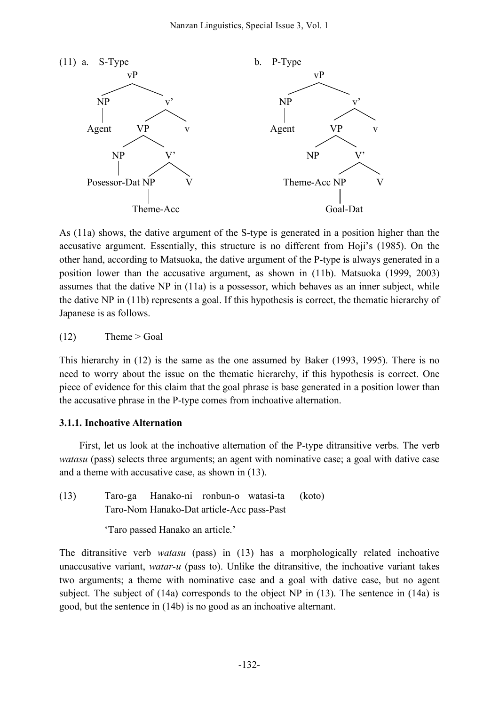

As (11a) shows, the dative argument of the S-type is generated in a position higher than the accusative argument. Essentially, this structure is no different from Hoji's (1985). On the other hand, according to Matsuoka, the dative argument of the P-type is always generated in a position lower than the accusative argument, as shown in (11b). Matsuoka (1999, 2003) assumes that the dative NP in (11a) is a possessor, which behaves as an inner subject, while the dative NP in (11b) represents a goal. If this hypothesis is correct, the thematic hierarchy of Japanese is as follows.

 $(12)$  Theme > Goal

This hierarchy in (12) is the same as the one assumed by Baker (1993, 1995). There is no need to worry about the issue on the thematic hierarchy, if this hypothesis is correct. One piece of evidence for this claim that the goal phrase is base generated in a position lower than the accusative phrase in the P-type comes from inchoative alternation.

### **3.1.1. Inchoative Alternation**

First, let us look at the inchoative alternation of the P-type ditransitive verbs. The verb *watasu* (pass) selects three arguments; an agent with nominative case; a goal with dative case and a theme with accusative case, as shown in (13).

(13) Taro-ga Hanako-ni ronbun-o watasi-ta (koto) Taro-Nom Hanako-Dat article-Acc pass-Past

'Taro passed Hanako an article.'

The ditransitive verb *watasu* (pass) in (13) has a morphologically related inchoative unaccusative variant, *watar-u* (pass to). Unlike the ditransitive, the inchoative variant takes two arguments; a theme with nominative case and a goal with dative case, but no agent subject. The subject of  $(14a)$  corresponds to the object NP in  $(13)$ . The sentence in  $(14a)$  is good, but the sentence in (14b) is no good as an inchoative alternant.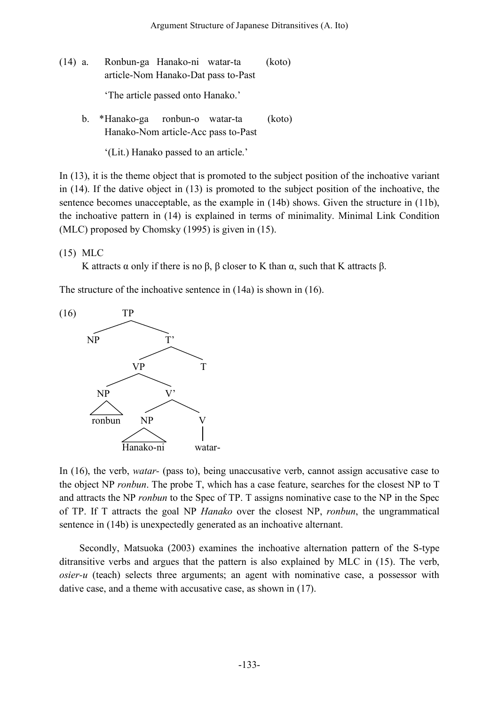- (14) a. Ronbun-ga Hanako-ni watar-ta (koto) article-Nom Hanako-Dat pass to-Past 'The article passed onto Hanako.'
	- b. \*Hanako-ga ronbun-o watar-ta (koto) Hanako-Nom article-Acc pass to-Past

'(Lit.) Hanako passed to an article.'

In (13), it is the theme object that is promoted to the subject position of the inchoative variant in (14). If the dative object in (13) is promoted to the subject position of the inchoative, the sentence becomes unacceptable, as the example in (14b) shows. Given the structure in (11b), the inchoative pattern in (14) is explained in terms of minimality. Minimal Link Condition (MLC) proposed by Chomsky (1995) is given in (15).

(15) MLC

K attracts  $\alpha$  only if there is no  $\beta$ ,  $\beta$  closer to K than  $\alpha$ , such that K attracts  $\beta$ .

The structure of the inchoative sentence in (14a) is shown in (16).



In (16), the verb, *watar-* (pass to), being unaccusative verb, cannot assign accusative case to the object NP *ronbun*. The probe T, which has a case feature, searches for the closest NP to T and attracts the NP *ronbun* to the Spec of TP. T assigns nominative case to the NP in the Spec of TP. If T attracts the goal NP *Hanako* over the closest NP, *ronbun*, the ungrammatical sentence in (14b) is unexpectedly generated as an inchoative alternant.

Secondly, Matsuoka (2003) examines the inchoative alternation pattern of the S-type ditransitive verbs and argues that the pattern is also explained by MLC in (15). The verb, *osier-u* (teach) selects three arguments; an agent with nominative case, a possessor with dative case, and a theme with accusative case, as shown in (17).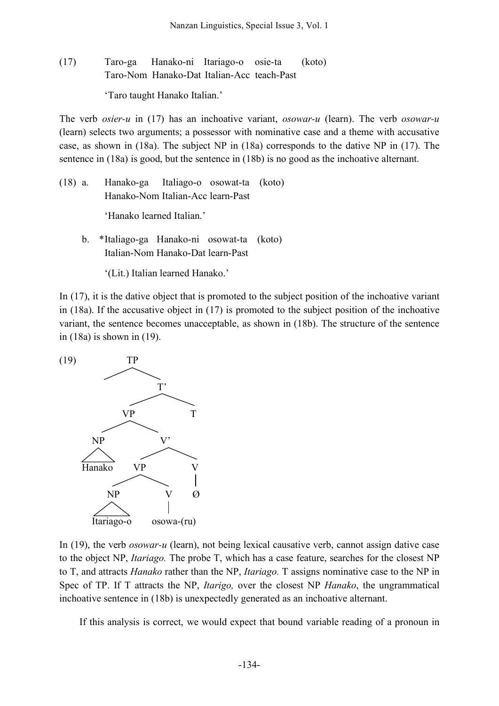(17) Taro-ga Hanako-ni Itariago-o osie-ta (koto) Taro-Nom Hanako-Dat Italian-Acc teach-Past 'Taro taught Hanako Italian.'

The verb *osier-u* in (17) has an inchoative variant, *osowar-u* (learn). The verb *osowar-u* (learn) selects two arguments; a possessor with nominative case and a theme with accusative case, as shown in (18a). The subject NP in (18a) corresponds to the dative NP in (17). The sentence in (18a) is good, but the sentence in (18b) is no good as the inchoative alternant.

(18) a. Hanako-ga Italiago-o osowat-ta (koto) Hanako-Nom Italian-Acc learn-Past

'Hanako learned Italian.'

b. \*Italiago-ga Hanako-ni osowat-ta (koto) Italian-Nom Hanako-Dat learn-Past

'(Lit.) Italian learned Hanako.'

In (17), it is the dative object that is promoted to the subject position of the inchoative variant in (18a). If the accusative object in (17) is promoted to the subject position of the inchoative variant, the sentence becomes unacceptable, as shown in (18b). The structure of the sentence in (18a) is shown in (19).



In (19), the verb *osowar-u* (learn), not being lexical causative verb, cannot assign dative case to the object NP, *Itariago.* The probe T, which has a case feature, searches for the closest NP to T, and attracts *Hanako* rather than the NP, *Itariago.* T assigns nominative case to the NP in Spec of TP. If T attracts the NP, *Itarigo,* over the closest NP *Hanako*, the ungrammatical inchoative sentence in (18b) is unexpectedly generated as an inchoative alternant.

If this analysis is correct, we would expect that bound variable reading of a pronoun in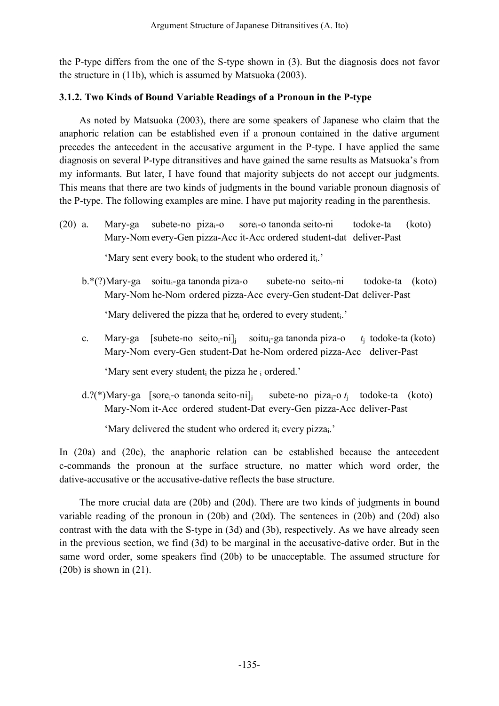the P-type differs from the one of the S-type shown in (3). But the diagnosis does not favor the structure in (11b), which is assumed by Matsuoka (2003).

# **3.1.2. Two Kinds of Bound Variable Readings of a Pronoun in the P-type**

As noted by Matsuoka (2003), there are some speakers of Japanese who claim that the anaphoric relation can be established even if a pronoun contained in the dative argument precedes the antecedent in the accusative argument in the P-type. I have applied the same diagnosis on several P-type ditransitives and have gained the same results as Matsuoka's from my informants. But later, I have found that majority subjects do not accept our judgments. This means that there are two kinds of judgments in the bound variable pronoun diagnosis of the P-type. The following examples are mine. I have put majority reading in the parenthesis.

(20) a. Mary-ga subete-no pizai-o sorei-o tanonda seito-ni todoke-ta (koto) Mary-Nom every-Gen pizza-Acc it-Acc ordered student-dat deliver-Past

'Mary sent every book<sub>i</sub> to the student who ordered it<sub>i</sub>.'

b.\*(?)Mary-ga soitui-ga tanonda piza-o subete-no seitoi-ni todoke-ta (koto) Mary-Nom he-Nom ordered pizza-Acc every-Gen student-Dat deliver-Past

'Mary delivered the pizza that he<sub>i</sub> ordered to every student<sub>i</sub>.'

c. Mary-ga [subete-no seito<sub>i</sub>-ni]<sub>i</sub> soitu<sub>i</sub>-ga tanonda piza-o *t*<sub>i</sub> todoke-ta (koto) Mary-Nom every-Gen student-Dat he-Nom ordered pizza-Acc deliver-Past

'Mary sent every student<sub>i</sub> the pizza he i ordered.'

d.?(\*)Mary-ga [sorei-o tanonda seito-ni]j subete-no pizai-o *t*<sup>j</sup> todoke-ta (koto) Mary-Nom it-Acc ordered student-Dat every-Gen pizza-Acc deliver-Past

'Mary delivered the student who ordered it every pizza<sub>i</sub>.'

In (20a) and (20c), the anaphoric relation can be established because the antecedent c-commands the pronoun at the surface structure, no matter which word order, the dative-accusative or the accusative-dative reflects the base structure.

The more crucial data are (20b) and (20d). There are two kinds of judgments in bound variable reading of the pronoun in (20b) and (20d). The sentences in (20b) and (20d) also contrast with the data with the S-type in (3d) and (3b), respectively. As we have already seen in the previous section, we find (3d) to be marginal in the accusative-dative order. But in the same word order, some speakers find (20b) to be unacceptable. The assumed structure for  $(20b)$  is shown in  $(21)$ .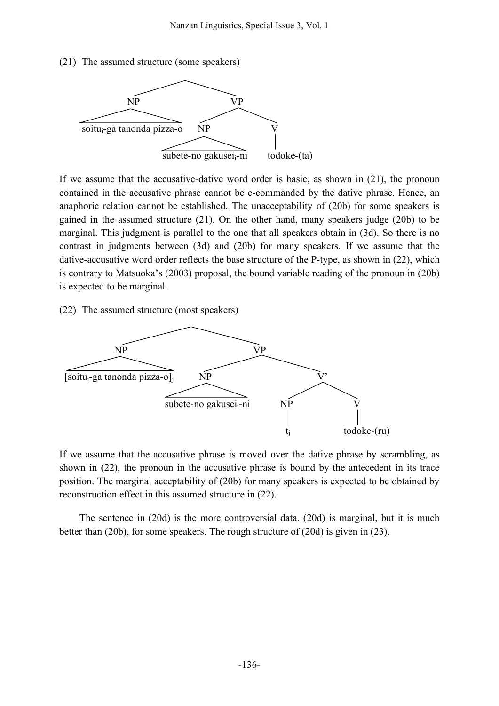(21) The assumed structure (some speakers)



If we assume that the accusative-dative word order is basic, as shown in (21), the pronoun contained in the accusative phrase cannot be c-commanded by the dative phrase. Hence, an anaphoric relation cannot be established. The unacceptability of (20b) for some speakers is gained in the assumed structure (21). On the other hand, many speakers judge (20b) to be marginal. This judgment is parallel to the one that all speakers obtain in (3d). So there is no contrast in judgments between (3d) and (20b) for many speakers. If we assume that the dative-accusative word order reflects the base structure of the P-type, as shown in (22), which is contrary to Matsuoka's (2003) proposal, the bound variable reading of the pronoun in (20b) is expected to be marginal.

(22) The assumed structure (most speakers)



If we assume that the accusative phrase is moved over the dative phrase by scrambling, as shown in (22), the pronoun in the accusative phrase is bound by the antecedent in its trace position. The marginal acceptability of (20b) for many speakers is expected to be obtained by reconstruction effect in this assumed structure in (22).

The sentence in (20d) is the more controversial data. (20d) is marginal, but it is much better than (20b), for some speakers. The rough structure of (20d) is given in (23).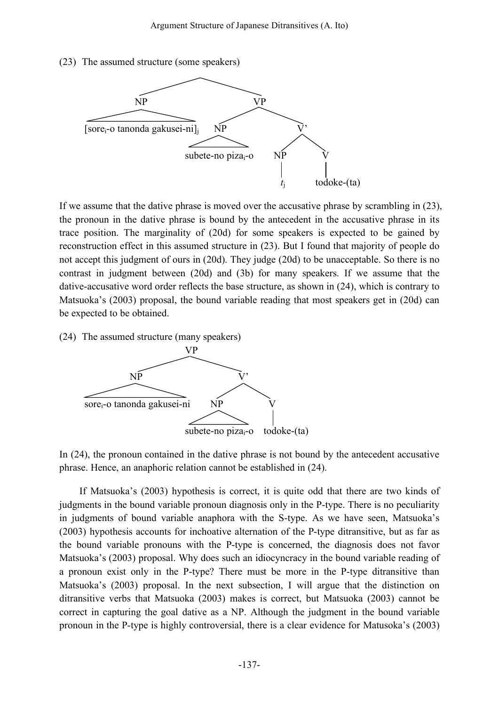(23) The assumed structure (some speakers)



If we assume that the dative phrase is moved over the accusative phrase by scrambling in (23), the pronoun in the dative phrase is bound by the antecedent in the accusative phrase in its trace position. The marginality of (20d) for some speakers is expected to be gained by reconstruction effect in this assumed structure in (23). But I found that majority of people do not accept this judgment of ours in (20d). They judge (20d) to be unacceptable. So there is no contrast in judgment between (20d) and (3b) for many speakers. If we assume that the dative-accusative word order reflects the base structure, as shown in (24), which is contrary to Matsuoka's (2003) proposal, the bound variable reading that most speakers get in (20d) can be expected to be obtained.

(24) The assumed structure (many speakers)



In (24), the pronoun contained in the dative phrase is not bound by the antecedent accusative phrase. Hence, an anaphoric relation cannot be established in (24).

If Matsuoka's (2003) hypothesis is correct, it is quite odd that there are two kinds of judgments in the bound variable pronoun diagnosis only in the P-type. There is no peculiarity in judgments of bound variable anaphora with the S-type. As we have seen, Matsuoka's (2003) hypothesis accounts for inchoative alternation of the P-type ditransitive, but as far as the bound variable pronouns with the P-type is concerned, the diagnosis does not favor Matsuoka's (2003) proposal. Why does such an idiocyncracy in the bound variable reading of a pronoun exist only in the P-type? There must be more in the P-type ditransitive than Matsuoka's (2003) proposal. In the next subsection, I will argue that the distinction on ditransitive verbs that Matsuoka (2003) makes is correct, but Matsuoka (2003) cannot be correct in capturing the goal dative as a NP. Although the judgment in the bound variable pronoun in the P-type is highly controversial, there is a clear evidence for Matusoka's (2003)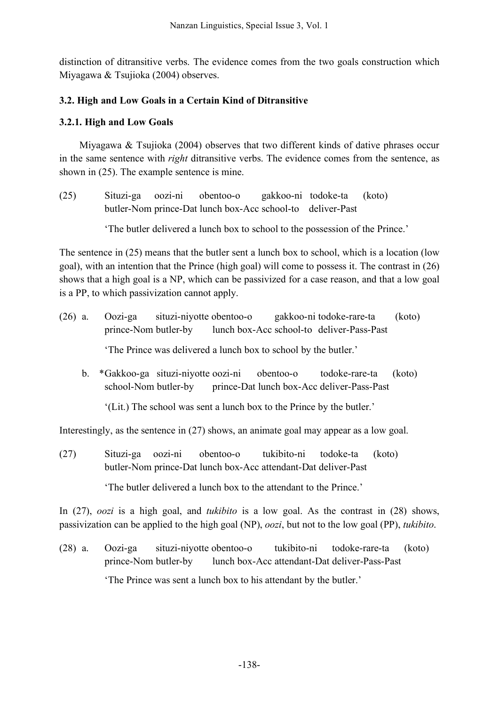distinction of ditransitive verbs. The evidence comes from the two goals construction which Miyagawa & Tsujioka (2004) observes.

# **3.2. High and Low Goals in a Certain Kind of Ditransitive**

# **3.2.1. High and Low Goals**

Miyagawa  $\&$  Tsujioka (2004) observes that two different kinds of dative phrases occur in the same sentence with *right* ditransitive verbs. The evidence comes from the sentence, as shown in (25). The example sentence is mine.

(25) Situzi-ga oozi-ni obentoo-o gakkoo-ni todoke-ta (koto) butler-Nom prince-Dat lunch box-Acc school-to deliver-Past

'The butler delivered a lunch box to school to the possession of the Prince.'

The sentence in (25) means that the butler sent a lunch box to school, which is a location (low goal), with an intention that the Prince (high goal) will come to possess it. The contrast in (26) shows that a high goal is a NP, which can be passivized for a case reason, and that a low goal is a PP, to which passivization cannot apply.

- (26) a. Oozi-ga situzi-niyotte obentoo-o gakkoo-ni todoke-rare-ta (koto) prince-Nom butler-by lunch box-Acc school-to deliver-Pass-Past 'The Prince was delivered a lunch box to school by the butler.'
	- b. \*Gakkoo-ga situzi-niyotte oozi-ni obentoo-o todoke-rare-ta (koto) school-Nom butler-by prince-Dat lunch box-Acc deliver-Pass-Past

'(Lit.) The school was sent a lunch box to the Prince by the butler.'

Interestingly, as the sentence in (27) shows, an animate goal may appear as a low goal.

(27) Situzi-ga oozi-ni obentoo-o tukibito-ni todoke-ta (koto) butler-Nom prince-Dat lunch box-Acc attendant-Dat deliver-Past

'The butler delivered a lunch box to the attendant to the Prince.'

In (27), *oozi* is a high goal, and *tukibito* is a low goal. As the contrast in (28) shows, passivization can be applied to the high goal (NP), *oozi*, but not to the low goal (PP), *tukibito*.

(28) a. Oozi-ga situzi-niyotte obentoo-o tukibito-ni todoke-rare-ta (koto) prince-Nom butler-by lunch box-Acc attendant-Dat deliver-Pass-Past 'The Prince was sent a lunch box to his attendant by the butler.'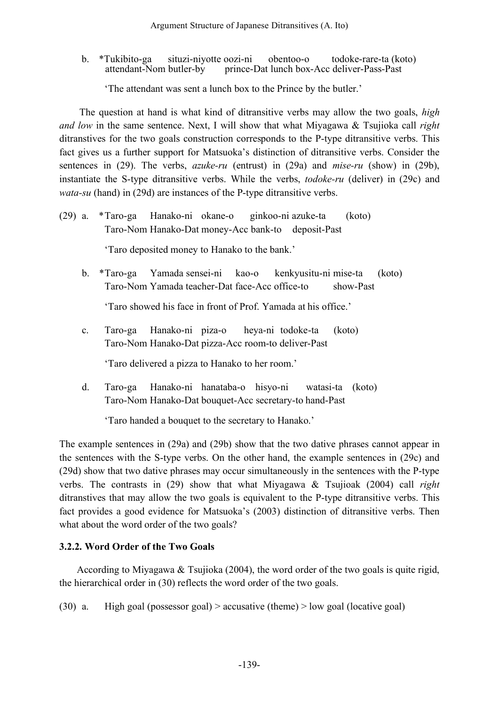b. \*Tukibito-ga situzi-niyotte oozi-ni obentoo-o todoke-rare-ta (koto)<br>attendant-Nom butler-by prince-Dat lunch box-Acc deliver-Pass-Past prince-Dat lunch box-Acc deliver-Pass-Past

'The attendant was sent a lunch box to the Prince by the butler.'

The question at hand is what kind of ditransitive verbs may allow the two goals, *high and low* in the same sentence. Next, I will show that what Miyagawa & Tsujioka call *right* ditranstives for the two goals construction corresponds to the P-type ditransitive verbs. This fact gives us a further support for Matsuoka's distinction of ditransitive verbs. Consider the sentences in (29). The verbs, *azuke-ru* (entrust) in (29a) and *mise-ru* (show) in (29b), instantiate the S-type ditransitive verbs. While the verbs, *todoke-ru* (deliver) in (29c) and *wata-su* (hand) in (29d) are instances of the P-type ditransitive verbs.

(29) a. \*Taro-ga Hanako-ni okane-o ginkoo-ni azuke-ta (koto) Taro-Nom Hanako-Dat money-Acc bank-to deposit-Past

'Taro deposited money to Hanako to the bank.'

b. \*Taro-ga Yamada sensei-ni kao-o kenkyusitu-ni mise-ta (koto) Taro-Nom Yamada teacher-Dat face-Acc office-to show-Past

'Taro showed his face in front of Prof. Yamada at his office.'

c. Taro-ga Hanako-ni piza-o heya-ni todoke-ta (koto) Taro-Nom Hanako-Dat pizza-Acc room-to deliver-Past

'Taro delivered a pizza to Hanako to her room.'

d. Taro-ga Hanako-ni hanataba-o hisyo-ni watasi-ta (koto) Taro-Nom Hanako-Dat bouquet-Acc secretary-to hand-Past

'Taro handed a bouquet to the secretary to Hanako.'

The example sentences in (29a) and (29b) show that the two dative phrases cannot appear in the sentences with the S-type verbs. On the other hand, the example sentences in (29c) and (29d) show that two dative phrases may occur simultaneously in the sentences with the P-type verbs. The contrasts in (29) show that what Miyagawa & Tsujioak (2004) call *right* ditranstives that may allow the two goals is equivalent to the P-type ditransitive verbs. This fact provides a good evidence for Matsuoka's (2003) distinction of ditransitive verbs. Then what about the word order of the two goals?

# **3.2.2. Word Order of the Two Goals**

According to Miyagawa & Tsujioka (2004), the word order of the two goals is quite rigid, the hierarchical order in (30) reflects the word order of the two goals.

(30) a. High goal (possessor goal) > accusative (theme) > low goal (locative goal)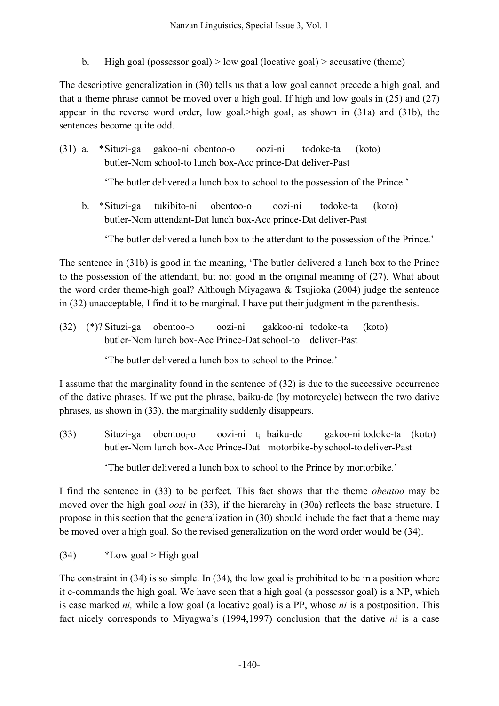b. High goal (possessor goal) > low goal (locative goal) > accusative (theme)

The descriptive generalization in (30) tells us that a low goal cannot precede a high goal, and that a theme phrase cannot be moved over a high goal. If high and low goals in (25) and (27) appear in the reverse word order, low goal.>high goal, as shown in (31a) and (31b), the sentences become quite odd.

(31) a. \*Situzi-ga gakoo-ni obentoo-o oozi-ni todoke-ta (koto) butler-Nom school-to lunch box-Acc prince-Dat deliver-Past

'The butler delivered a lunch box to school to the possession of the Prince.'

b. \*Situzi-ga tukibito-ni obentoo-o oozi-ni todoke-ta (koto) butler-Nom attendant-Dat lunch box-Acc prince-Dat deliver-Past

'The butler delivered a lunch box to the attendant to the possession of the Prince.'

The sentence in (31b) is good in the meaning, 'The butler delivered a lunch box to the Prince to the possession of the attendant, but not good in the original meaning of (27). What about the word order theme-high goal? Although Miyagawa & Tsujioka (2004) judge the sentence in (32) unacceptable, I find it to be marginal. I have put their judgment in the parenthesis.

(32) (\*)? Situzi-ga obentoo-o oozi-ni gakkoo-ni todoke-ta (koto) butler-Nom lunch box-Acc Prince-Dat school-to deliver-Past

'The butler delivered a lunch box to school to the Prince.'

I assume that the marginality found in the sentence of (32) is due to the successive occurrence of the dative phrases. If we put the phrase, baiku-de (by motorcycle) between the two dative phrases, as shown in (33), the marginality suddenly disappears.

(33) Situzi-ga obentoo<sub>i</sub>-o oozi-ni t<sub>i</sub> baiku-de gakoo-ni todoke-ta (koto) butler-Nom lunch box-Acc Prince-Dat motorbike-by school-to deliver-Past

'The butler delivered a lunch box to school to the Prince by mortorbike.'

I find the sentence in (33) to be perfect. This fact shows that the theme *obentoo* may be moved over the high goal *oozi* in (33), if the hierarchy in (30a) reflects the base structure. I propose in this section that the generalization in (30) should include the fact that a theme may be moved over a high goal. So the revised generalization on the word order would be (34).

 $*$ Low goal > High goal

The constraint in (34) is so simple. In (34), the low goal is prohibited to be in a position where it c-commands the high goal. We have seen that a high goal (a possessor goal) is a NP, which is case marked *ni,* while a low goal (a locative goal) is a PP, whose *ni* is a postposition. This fact nicely corresponds to Miyagwa's (1994,1997) conclusion that the dative *ni* is a case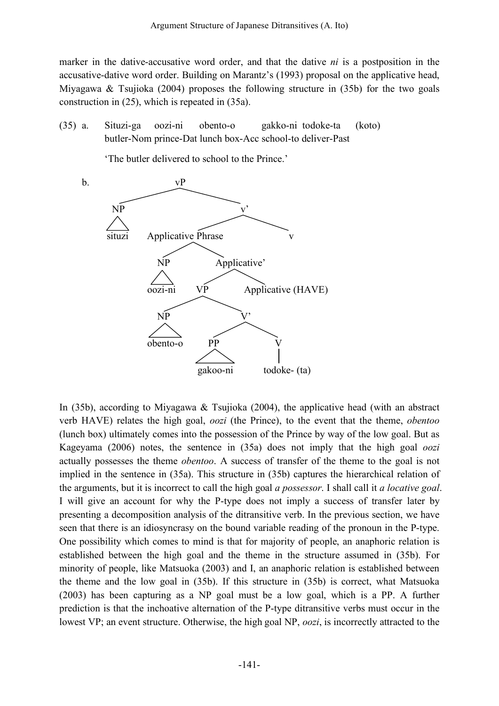marker in the dative-accusative word order, and that the dative *ni* is a postposition in the accusative-dative word order. Building on Marantz's (1993) proposal on the applicative head, Miyagawa & Tsujioka (2004) proposes the following structure in (35b) for the two goals construction in (25), which is repeated in (35a).

(35) a. Situzi-ga oozi-ni obento-o gakko-ni todoke-ta (koto) butler-Nom prince-Dat lunch box-Acc school-to deliver-Past

'The butler delivered to school to the Prince.'



In (35b), according to Miyagawa & Tsujioka (2004), the applicative head (with an abstract verb HAVE) relates the high goal, *oozi* (the Prince), to the event that the theme, *obentoo*  (lunch box) ultimately comes into the possession of the Prince by way of the low goal. But as Kageyama (2006) notes, the sentence in (35a) does not imply that the high goal *oozi* actually possesses the theme *obentoo*. A success of transfer of the theme to the goal is not implied in the sentence in (35a). This structure in (35b) captures the hierarchical relation of the arguments, but it is incorrect to call the high goal *a possessor*. I shall call it *a locative goal*. I will give an account for why the P-type does not imply a success of transfer later by presenting a decomposition analysis of the ditransitive verb. In the previous section, we have seen that there is an idiosyncrasy on the bound variable reading of the pronoun in the P-type. One possibility which comes to mind is that for majority of people, an anaphoric relation is established between the high goal and the theme in the structure assumed in (35b). For minority of people, like Matsuoka (2003) and I, an anaphoric relation is established between the theme and the low goal in (35b). If this structure in (35b) is correct, what Matsuoka (2003) has been capturing as a NP goal must be a low goal, which is a PP. A further prediction is that the inchoative alternation of the P-type ditransitive verbs must occur in the lowest VP; an event structure. Otherwise, the high goal NP, *oozi*, is incorrectly attracted to the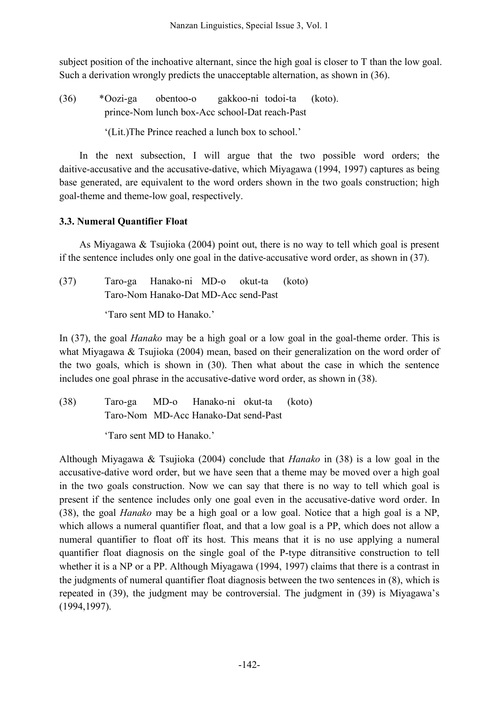subject position of the inchoative alternant, since the high goal is closer to T than the low goal. Such a derivation wrongly predicts the unacceptable alternation, as shown in (36).

(36) \*Oozi-ga obentoo-o gakkoo-ni todoi-ta (koto). prince-Nom lunch box-Acc school-Dat reach-Past

'(Lit.)The Prince reached a lunch box to school.'

In the next subsection, I will argue that the two possible word orders; the daitive-accusative and the accusative-dative, which Miyagawa (1994, 1997) captures as being base generated, are equivalent to the word orders shown in the two goals construction; high goal-theme and theme-low goal, respectively.

# **3.3. Numeral Quantifier Float**

As Miyagawa & Tsujioka (2004) point out, there is no way to tell which goal is present if the sentence includes only one goal in the dative-accusative word order, as shown in (37).

| (37) |                                      | Taro-ga Hanako-ni MD-o okut-ta (koto) |  |  |  |
|------|--------------------------------------|---------------------------------------|--|--|--|
|      | Taro-Nom Hanako-Dat MD-Acc send-Past |                                       |  |  |  |
|      | 'Taro sent MD to Hanako.'            |                                       |  |  |  |

In (37), the goal *Hanako* may be a high goal or a low goal in the goal-theme order. This is what Miyagawa & Tsujioka (2004) mean, based on their generalization on the word order of the two goals, which is shown in (30). Then what about the case in which the sentence includes one goal phrase in the accusative-dative word order, as shown in (38).

(38) Taro-ga MD-o Hanako-ni okut-ta (koto) Taro-Nom MD-Acc Hanako-Dat send-Past

'Taro sent MD to Hanako.'

Although Miyagawa & Tsujioka (2004) conclude that *Hanako* in (38) is a low goal in the accusative-dative word order, but we have seen that a theme may be moved over a high goal in the two goals construction. Now we can say that there is no way to tell which goal is present if the sentence includes only one goal even in the accusative-dative word order. In (38), the goal *Hanako* may be a high goal or a low goal. Notice that a high goal is a NP, which allows a numeral quantifier float, and that a low goal is a PP, which does not allow a numeral quantifier to float off its host. This means that it is no use applying a numeral quantifier float diagnosis on the single goal of the P-type ditransitive construction to tell whether it is a NP or a PP. Although Miyagawa (1994, 1997) claims that there is a contrast in the judgments of numeral quantifier float diagnosis between the two sentences in (8), which is repeated in (39), the judgment may be controversial. The judgment in (39) is Miyagawa's (1994,1997).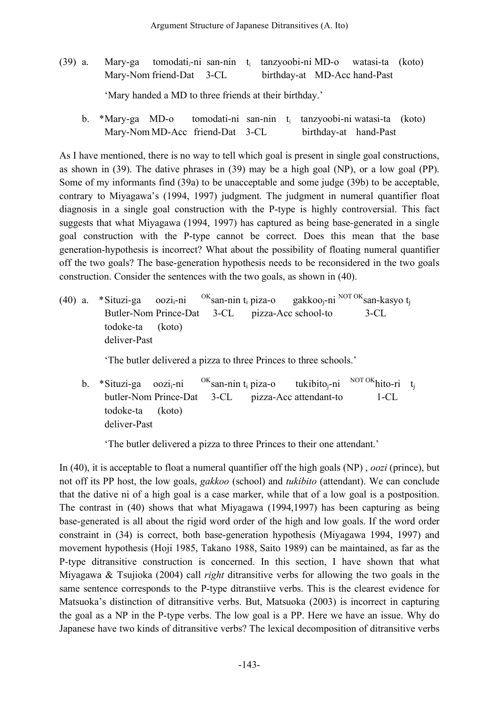- (39) a. Mary-ga tomodati-ni san-nin t<sub>i</sub> tanzyoobi-ni MD-o watasi-ta (koto) Mary-Nom friend-Dat 3-CL birthday-at MD-Acc hand-Past 'Mary handed a MD to three friends at their birthday.'
	- b. \*Mary-ga MD-o tomodati-ni san-nin t<sub>i</sub> tanzyoobi-ni watasi-ta (koto) Mary-Nom MD-Acc friend-Dat 3-CL birthday-at hand-Past

As I have mentioned, there is no way to tell which goal is present in single goal constructions, as shown in (39). The dative phrases in (39) may be a high goal (NP), or a low goal (PP). Some of my informants find (39a) to be unacceptable and some judge (39b) to be acceptable, contrary to Miyagawa's (1994, 1997) judgment. The judgment in numeral quantifier float diagnosis in a single goal construction with the P-type is highly controversial. This fact suggests that what Miyagawa (1994, 1997) has captured as being base-generated in a single goal construction with the P-type cannot be correct. Does this mean that the base generation-hypothesis is incorrect? What about the possibility of floating numeral quantifier off the two goals? The base-generation hypothesis needs to be reconsidered in the two goals construction. Consider the sentences with the two goals, as shown in (40).

(40) a. \*Situzi-ga oozi<sub>i</sub>-ni <sup>OK</sup>san-nin t<sub>i</sub> piza-o gakkoo<sub>i</sub>-ni <sup>NOT OK</sup>san-kasyo t<sub>i</sub> Butler-Nom Prince-Dat 3-CL pizza-Acc school-to 3-CL todoke-ta (koto) deliver-Past

'The butler delivered a pizza to three Princes to three schools.'

b. \*Situzi-ga  $oozi_i$ -ni <sup>OK</sup>san-nin t<sub>i</sub> piza-o tukibito<sub>i</sub>-ni<sup>NOT OK</sup>hito-ri t<sub>j</sub> butler-Nom Prince-Dat 3-CL pizza-Acc attendant-to 1-CL todoke-ta (koto) deliver-Past

'The butler delivered a pizza to three Princes to their one attendant.'

In (40), it is acceptable to float a numeral quantifier off the high goals (NP) , *oozi* (prince), but not off its PP host, the low goals, *gakkoo* (school) and *tukibito* (attendant). We can conclude that the dative ni of a high goal is a case marker, while that of a low goal is a postposition. The contrast in (40) shows that what Miyagawa (1994,1997) has been capturing as being base-generated is all about the rigid word order of the high and low goals. If the word order constraint in (34) is correct, both base-generation hypothesis (Miyagawa 1994, 1997) and movement hypothesis (Hoji 1985, Takano 1988, Saito 1989) can be maintained, as far as the P-type ditransitive construction is concerned. In this section, I have shown that what Miyagawa & Tsujioka (2004) call *right* ditransitive verbs for allowing the two goals in the same sentence corresponds to the P-type ditranstiive verbs. This is the clearest evidence for Matsuoka's distinction of ditransitive verbs. But, Matsuoka (2003) is incorrect in capturing the goal as a NP in the P-type verbs. The low goal is a PP. Here we have an issue. Why do Japanese have two kinds of ditransitive verbs? The lexical decomposition of ditransitive verbs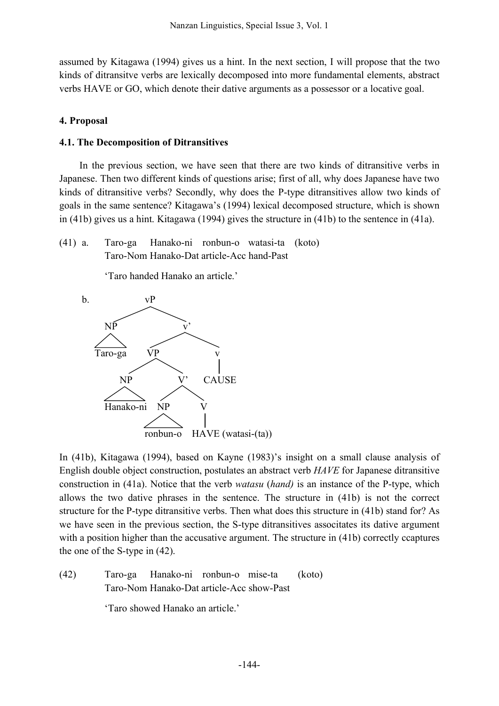assumed by Kitagawa (1994) gives us a hint. In the next section, I will propose that the two kinds of ditransitve verbs are lexically decomposed into more fundamental elements, abstract verbs HAVE or GO, which denote their dative arguments as a possessor or a locative goal.

## **4. Proposal**

## **4.1. The Decomposition of Ditransitives**

In the previous section, we have seen that there are two kinds of ditransitive verbs in Japanese. Then two different kinds of questions arise; first of all, why does Japanese have two kinds of ditransitive verbs? Secondly, why does the P-type ditransitives allow two kinds of goals in the same sentence? Kitagawa's (1994) lexical decomposed structure, which is shown in (41b) gives us a hint. Kitagawa (1994) gives the structure in (41b) to the sentence in (41a).

(41) a. Taro-ga Hanako-ni ronbun-o watasi-ta (koto) Taro-Nom Hanako-Dat article-Acc hand-Past

'Taro handed Hanako an article.'



In (41b), Kitagawa (1994), based on Kayne (1983)'s insight on a small clause analysis of English double object construction, postulates an abstract verb *HAVE* for Japanese ditransitive construction in (41a). Notice that the verb *watasu* (*hand)* is an instance of the P-type, which allows the two dative phrases in the sentence. The structure in (41b) is not the correct structure for the P-type ditransitive verbs. Then what does this structure in (41b) stand for? As we have seen in the previous section, the S-type ditransitives associtates its dative argument with a position higher than the accusative argument. The structure in (41b) correctly ccaptures the one of the S-type in (42).

(42) Taro-ga Hanako-ni ronbun-o mise-ta (koto) Taro-Nom Hanako-Dat article-Acc show-Past

'Taro showed Hanako an article.'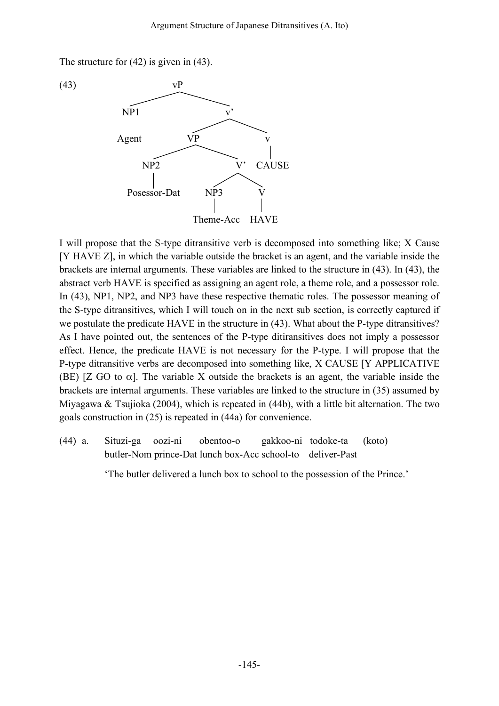The structure for (42) is given in (43).



I will propose that the S-type ditransitive verb is decomposed into something like; X Cause [Y HAVE Z], in which the variable outside the bracket is an agent, and the variable inside the brackets are internal arguments. These variables are linked to the structure in (43). In (43), the abstract verb HAVE is specified as assigning an agent role, a theme role, and a possessor role. In (43), NP1, NP2, and NP3 have these respective thematic roles. The possessor meaning of the S-type ditransitives, which I will touch on in the next sub section, is correctly captured if we postulate the predicate HAVE in the structure in (43). What about the P-type ditransitives? As I have pointed out, the sentences of the P-type ditiransitives does not imply a possessor effect. Hence, the predicate HAVE is not necessary for the P-type. I will propose that the P-type ditransitive verbs are decomposed into something like, X CAUSE [Y APPLICATIVE (BE) [Z GO to  $\alpha$ ]. The variable X outside the brackets is an agent, the variable inside the brackets are internal arguments. These variables are linked to the structure in (35) assumed by Miyagawa & Tsujioka (2004), which is repeated in (44b), with a little bit alternation. The two goals construction in (25) is repeated in (44a) for convenience.

(44) a. Situzi-ga oozi-ni obentoo-o gakkoo-ni todoke-ta (koto) butler-Nom prince-Dat lunch box-Acc school-to deliver-Past

'The butler delivered a lunch box to school to the possession of the Prince.'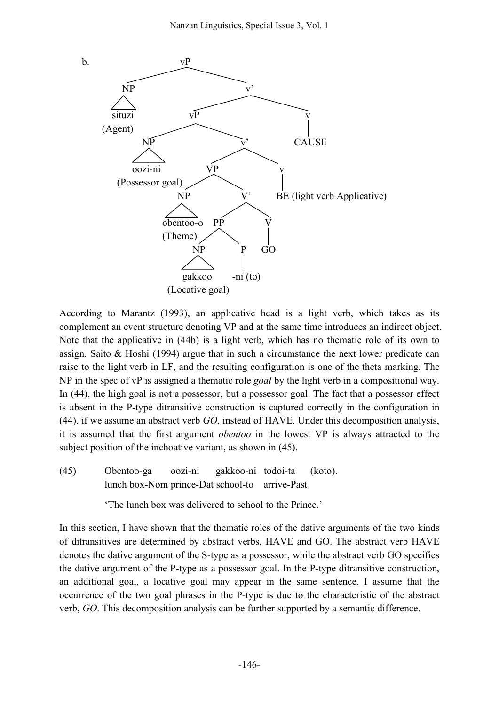

According to Marantz (1993), an applicative head is a light verb, which takes as its complement an event structure denoting VP and at the same time introduces an indirect object. Note that the applicative in (44b) is a light verb, which has no thematic role of its own to assign. Saito & Hoshi (1994) argue that in such a circumstance the next lower predicate can raise to the light verb in LF, and the resulting configuration is one of the theta marking. The NP in the spec of vP is assigned a thematic role *goal* by the light verb in a compositional way. In (44), the high goal is not a possessor, but a possessor goal. The fact that a possessor effect is absent in the P-type ditransitive construction is captured correctly in the configuration in (44), if we assume an abstract verb *GO*, instead of HAVE. Under this decomposition analysis, it is assumed that the first argument *obentoo* in the lowest VP is always attracted to the subject position of the inchoative variant, as shown in  $(45)$ .

(45) Obentoo-ga oozi-ni gakkoo-ni todoi-ta (koto). lunch box-Nom prince-Dat school-to arrive-Past

'The lunch box was delivered to school to the Prince.'

In this section, I have shown that the thematic roles of the dative arguments of the two kinds of ditransitives are determined by abstract verbs, HAVE and GO. The abstract verb HAVE denotes the dative argument of the S-type as a possessor, while the abstract verb GO specifies the dative argument of the P-type as a possessor goal. In the P-type ditransitive construction, an additional goal, a locative goal may appear in the same sentence. I assume that the occurrence of the two goal phrases in the P-type is due to the characteristic of the abstract verb, *GO*. This decomposition analysis can be further supported by a semantic difference.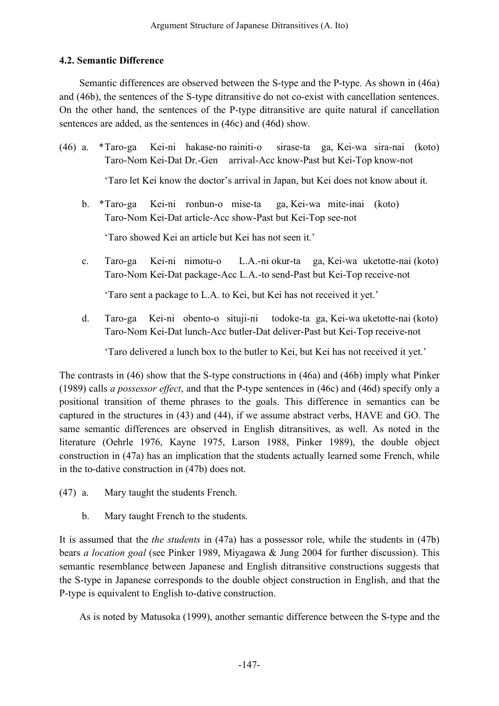# **4.2. Semantic Difference**

Semantic differences are observed between the S-type and the P-type. As shown in (46a) and (46b), the sentences of the S-type ditransitive do not co-exist with cancellation sentences. On the other hand, the sentences of the P-type ditransitive are quite natural if cancellation sentences are added, as the sentences in (46c) and (46d) show.

- (46) a. \*Taro-ga Kei-ni hakase-no rainiti-o sirase-ta ga, Kei-wa sira-nai (koto) Taro-Nom Kei-Dat Dr.-Gen arrival-Acc know-Past but Kei-Top know-not 'Taro let Kei know the doctor's arrival in Japan, but Kei does not know about it.
	- b. \*Taro-ga Kei-ni ronbun-o mise-ta ga, Kei-wa mite-inai (koto) Taro-Nom Kei-Dat article-Acc show-Past but Kei-Top see-not

'Taro showed Kei an article but Kei has not seen it.'

c. Taro-ga Kei-ni nimotu-o L.A.-ni okur-ta ga, Kei-wa uketotte-nai (koto) Taro-Nom Kei-Dat package-Acc L.A.-to send-Past but Kei-Top receive-not

'Taro sent a package to L.A. to Kei, but Kei has not received it yet.'

d. Taro-ga Kei-ni obento-o situji-ni todoke-ta ga, Kei-wa uketotte-nai (koto) Taro-Nom Kei-Dat lunch-Acc butler-Dat deliver-Past but Kei-Top receive-not

'Taro delivered a lunch box to the butler to Kei, but Kei has not received it yet.'

The contrasts in (46) show that the S-type constructions in (46a) and (46b) imply what Pinker (1989) calls *a possessor effect*, and that the P-type sentences in (46c) and (46d) specify only a positional transition of theme phrases to the goals. This difference in semantics can be captured in the structures in (43) and (44), if we assume abstract verbs, HAVE and GO. The same semantic differences are observed in English ditransitives, as well. As noted in the literature (Oehrle 1976, Kayne 1975, Larson 1988, Pinker 1989), the double object construction in (47a) has an implication that the students actually learned some French, while in the to-dative construction in (47b) does not.

- (47) a. Mary taught the students French.
	- b. Mary taught French to the students.

It is assumed that the *the students* in (47a) has a possessor role, while the students in (47b) bears *a location goal* (see Pinker 1989, Miyagawa & Jung 2004 for further discussion). This semantic resemblance between Japanese and English ditransitive constructions suggests that the S-type in Japanese corresponds to the double object construction in English, and that the P-type is equivalent to English to-dative construction.

As is noted by Matusoka (1999), another semantic difference between the S-type and the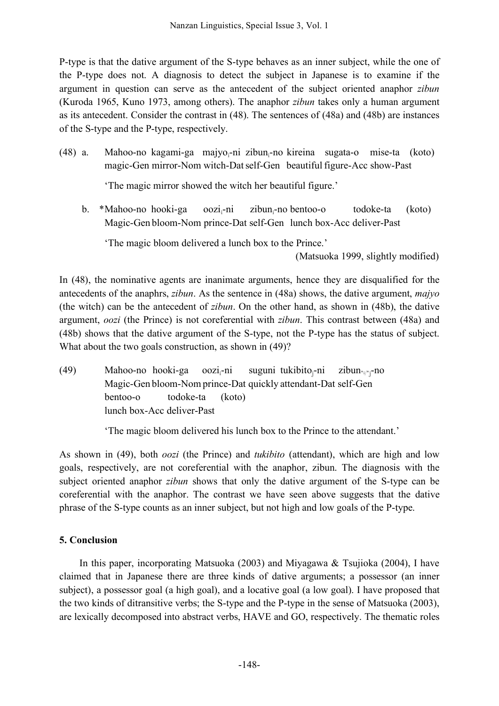P-type is that the dative argument of the S-type behaves as an inner subject, while the one of the P-type does not. A diagnosis to detect the subject in Japanese is to examine if the argument in question can serve as the antecedent of the subject oriented anaphor *zibun* (Kuroda 1965, Kuno 1973, among others). The anaphor *zibun* takes only a human argument as its antecedent. Consider the contrast in (48). The sentences of (48a) and (48b) are instances of the S-type and the P-type, respectively.

(48) a. Mahoo-no kagami-ga majyo $\pi$ -ni zibun $\pi$ -no kireina sugata-o mise-ta (koto) magic-Gen mirror-Nom witch-Dat self-Gen beautiful figure-Acc show-Past

'The magic mirror showed the witch her beautiful figure.'

b. \*Mahoo-no hooki-ga oozi<sub>i</sub>-ni zibun<sub>i</sub>-no bentoo-o todoke-ta (koto) Magic-Gen bloom-Nom prince-Dat self-Gen lunch box-Acc deliver-Past

'The magic bloom delivered a lunch box to the Prince.'

(Matsuoka 1999, slightly modified)

In (48), the nominative agents are inanimate arguments, hence they are disqualified for the antecedents of the anaphrs, *zibun*. As the sentence in (48a) shows, the dative argument, *majyo* (the witch) can be the antecedent of *zibun*. On the other hand, as shown in (48b), the dative argument, *oozi* (the Prince) is not coreferential with *zibun*. This contrast between (48a) and (48b) shows that the dative argument of the S-type, not the P-type has the status of subject. What about the two goals construction, as shown in (49)?

(49) Mahoo-no hooki-ga oozi<sup>i</sup> suguni tukibito $_{i}$ -ni zibun $*_{i}$  $\rightarrow$ no Magic-Gen bloom-Nom prince-Dat quickly attendant-Dat self-Gen bentoo-o todoke-ta (koto) lunch box-Acc deliver-Past

'The magic bloom delivered his lunch box to the Prince to the attendant.'

As shown in (49), both *oozi* (the Prince) and *tukibito* (attendant), which are high and low goals, respectively, are not coreferential with the anaphor, zibun. The diagnosis with the subject oriented anaphor *zibun* shows that only the dative argument of the S-type can be coreferential with the anaphor. The contrast we have seen above suggests that the dative phrase of the S-type counts as an inner subject, but not high and low goals of the P-type.

# **5. Conclusion**

In this paper, incorporating Matsuoka (2003) and Miyagawa & Tsujioka (2004), I have claimed that in Japanese there are three kinds of dative arguments; a possessor (an inner subject), a possessor goal (a high goal), and a locative goal (a low goal). I have proposed that the two kinds of ditransitive verbs; the S-type and the P-type in the sense of Matsuoka (2003), are lexically decomposed into abstract verbs, HAVE and GO, respectively. The thematic roles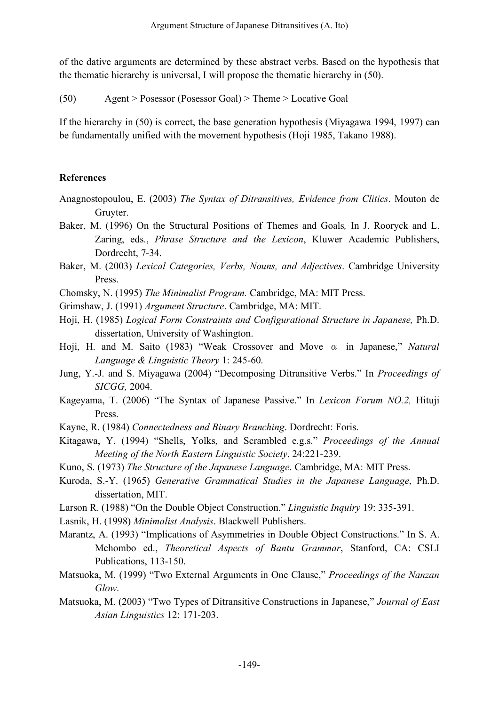of the dative arguments are determined by these abstract verbs. Based on the hypothesis that the thematic hierarchy is universal, I will propose the thematic hierarchy in (50).

(50) Agent > Posessor (Posessor Goal) > Theme > Locative Goal

If the hierarchy in (50) is correct, the base generation hypothesis (Miyagawa 1994, 1997) can be fundamentally unified with the movement hypothesis (Hoji 1985, Takano 1988).

# **References**

- Anagnostopoulou, E. (2003) *The Syntax of Ditransitives, Evidence from Clitics*. Mouton de Gruyter.
- Baker, M. (1996) On the Structural Positions of Themes and Goals*,* In J. Rooryck and L. Zaring, eds., *Phrase Structure and the Lexicon*, Kluwer Academic Publishers, Dordrecht, 7-34.
- Baker, M. (2003) *Lexical Categories, Verbs, Nouns, and Adjectives*. Cambridge University Press.
- Chomsky, N. (1995) *The Minimalist Program.* Cambridge, MA: MIT Press.
- Grimshaw, J. (1991) *Argument Structure*. Cambridge, MA: MIT.
- Hoji, H. (1985) *Logical Form Constraints and Configurational Structure in Japanese,* Ph.D. dissertation, University of Washington.
- Hoji, H. and M. Saito (1983) "Weak Crossover and Move α in Japanese," *Natural Language & Linguistic Theory* 1: 245-60.
- Jung, Y.-J. and S. Miyagawa (2004) "Decomposing Ditransitive Verbs." In *Proceedings of SICGG,* 2004.
- Kageyama, T. (2006) "The Syntax of Japanese Passive." In *Lexicon Forum NO.2,* Hituji Press.
- Kayne, R. (1984) *Connectedness and Binary Branching*. Dordrecht: Foris.
- Kitagawa, Y. (1994) "Shells, Yolks, and Scrambled e.g.s." *Proceedings of the Annual Meeting of the North Eastern Linguistic Society*. 24:221-239.
- Kuno, S. (1973) *The Structure of the Japanese Language*. Cambridge, MA: MIT Press.
- Kuroda, S.-Y. (1965) *Generative Grammatical Studies in the Japanese Language*, Ph.D. dissertation, MIT.
- Larson R. (1988) "On the Double Object Construction." *Linguistic Inquiry* 19: 335-391.
- Lasnik, H. (1998) *Minimalist Analysis*. Blackwell Publishers.
- Marantz, A. (1993) "Implications of Asymmetries in Double Object Constructions." In S. A. Mchombo ed., *Theoretical Aspects of Bantu Grammar*, Stanford, CA: CSLI Publications, 113-150.
- Matsuoka, M. (1999) "Two External Arguments in One Clause," *Proceedings of the Nanzan Glow*.
- Matsuoka, M. (2003) "Two Types of Ditransitive Constructions in Japanese," *Journal of East Asian Linguistics* 12: 171-203.